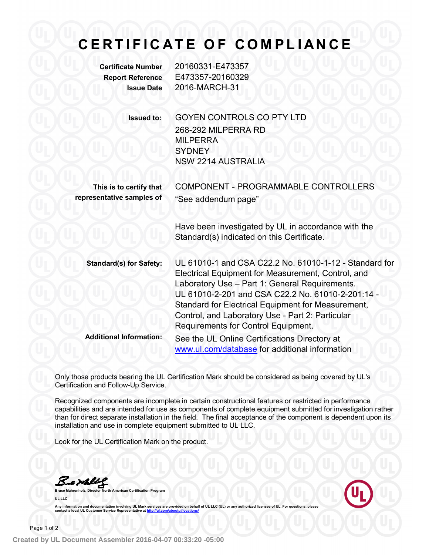## **C E R T I F I C A T E O F C O M PL I A N C E**

**Certificate Number** 20160331-E473357 **Report Reference** E473357-20160329 **Issue Date** 2016-MARCH-31

> **Issued to:** GOYEN CONTROLS CO PTY LTD 268-292 MILPERRA RD MILPERRA **SYDNEY** NSW 2214 AUSTRALIA

**This is to certify that** COMPONENT - PROGRAMMABLE CONTROLLERS **representative samples of** "See addendum page"

> Have been investigated by UL in accordance with the Standard(s) indicated on this Certificate.

**Standard(s) for Safety:** UL 61010-1 and CSA C22.2 No. 61010-1-12 - Standard for Electrical Equipment for Measurement, Control, and Laboratory Use – Part 1: General Requirements. UL 61010-2-201 and CSA C22.2 No. 61010-2-201:14 - Standard for Electrical Equipment for Measurement, Control, and Laboratory Use - Part 2: Particular Requirements for Control Equipment. **Additional Information:** See the UL Online Certifications Directory at www.ul.com/database for additional information

Only those products bearing the UL Certification Mark should be considered as being covered by UL's Certification and Follow-Up Service.

Recognized components are incomplete in certain constructional features or restricted in performance capabilities and are intended for use as components of complete equipment submitted for investigation rather than for direct separate installation in the field. The final acceptance of the component is dependent upon its installation and use in complete equipment submitted to UL LLC.

Look for the UL Certification Mark on the product.

<u>Kaml</u>l

**Bruce Mahrenholz, Director North American Certification Program UL LLC**

Any information and documentation involving UL Mark services are provided on behalf of UL LLC (UL) or **contact a local UL Customer Service Repres**